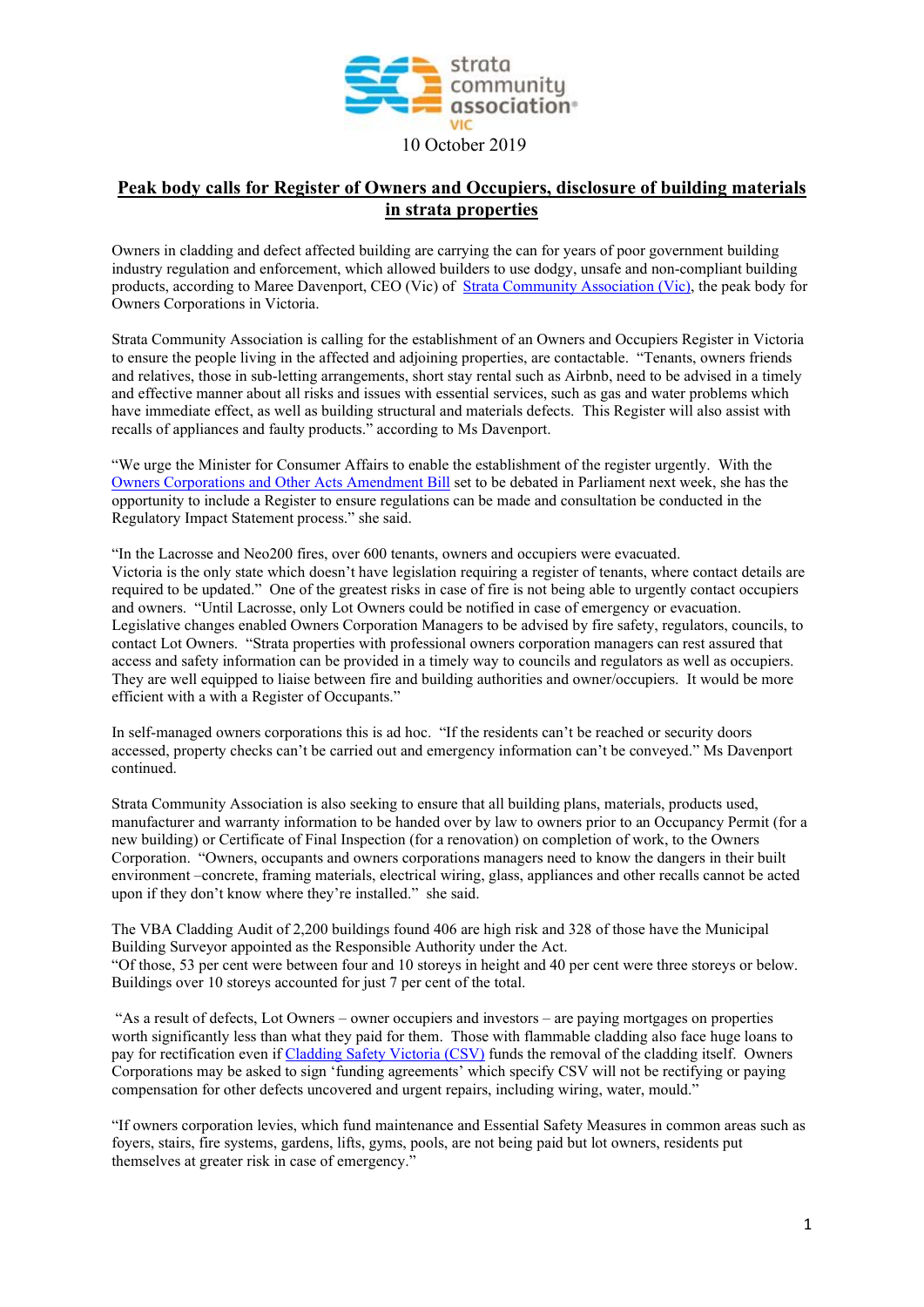

## **Peak body calls for Register of Owners and Occupiers, disclosure of building materials in strata properties**

Owners in cladding and defect affected building are carrying the can for years of poor government building industry regulation and enforcement, which allowed builders to use dodgy, unsafe and non-compliant building products, according to Maree Davenport, CEO (Vic) of [Strata Community Association](https://www.strata.community/states/vic) (Vic), the peak body for Owners Corporations in Victoria.

Strata Community Association is calling for the establishment of an Owners and Occupiers Register in Victoria to ensure the people living in the affected and adjoining properties, are contactable. "Tenants, owners friends and relatives, those in sub-letting arrangements, short stay rental such as Airbnb, need to be advised in a timely and effective manner about all risks and issues with essential services, such as gas and water problems which have immediate effect, as well as building structural and materials defects. This Register will also assist with recalls of appliances and faulty products." according to Ms Davenport.

"We urge the Minister for Consumer Affairs to enable the establishment of the register urgently. With the [Owners Corporations and Other Acts Amendment Bill](http://www.legislation.vic.gov.au/domino/Web_Notes/LDMS/PubPDocs.nsf/ee665e366dcb6cb0ca256da400837f6b/1547158a9adbfe09ca2584710018b6a4!OpenDocument) set to be debated in Parliament next week, she has the opportunity to include a Register to ensure regulations can be made and consultation be conducted in the Regulatory Impact Statement process." she said.

"In the Lacrosse and Neo200 fires, over 600 tenants, owners and occupiers were evacuated. Victoria is the only state which doesn't have legislation requiring a register of tenants, where contact details are required to be updated." One of the greatest risks in case of fire is not being able to urgently contact occupiers and owners. "Until Lacrosse, only Lot Owners could be notified in case of emergency or evacuation. Legislative changes enabled Owners Corporation Managers to be advised by fire safety, regulators, councils, to contact Lot Owners. "Strata properties with professional owners corporation managers can rest assured that access and safety information can be provided in a timely way to councils and regulators as well as occupiers. They are well equipped to liaise between fire and building authorities and owner/occupiers. It would be more efficient with a with a Register of Occupants."

In self-managed owners corporations this is ad hoc. "If the residents can't be reached or security doors accessed, property checks can't be carried out and emergency information can't be conveyed." Ms Davenport continued.

Strata Community Association is also seeking to ensure that all building plans, materials, products used, manufacturer and warranty information to be handed over by law to owners prior to an Occupancy Permit (for a new building) or Certificate of Final Inspection (for a renovation) on completion of work, to the Owners Corporation. "Owners, occupants and owners corporations managers need to know the dangers in their built environment –concrete, framing materials, electrical wiring, glass, appliances and other recalls cannot be acted upon if they don't know where they're installed." she said.

The VBA Cladding Audit of 2,200 buildings found 406 are high risk and 328 of those have the Municipal Building Surveyor appointed as the Responsible Authority under the Act. "Of those, 53 per cent were between four and 10 storeys in height and 40 per cent were three storeys or below. Buildings over 10 storeys accounted for just 7 per cent of the total.

"As a result of defects, Lot Owners – owner occupiers and investors – are paying mortgages on properties worth significantly less than what they paid for them. Those with flammable cladding also face huge loans to pay for rectification even if [Cladding Safety Victoria \(CSV\)](https://www.vic.gov.au/cladding-safety) funds the removal of the cladding itself. Owners Corporations may be asked to sign 'funding agreements' which specify CSV will not be rectifying or paying compensation for other defects uncovered and urgent repairs, including wiring, water, mould."

"If owners corporation levies, which fund maintenance and Essential Safety Measures in common areas such as foyers, stairs, fire systems, gardens, lifts, gyms, pools, are not being paid but lot owners, residents put themselves at greater risk in case of emergency."